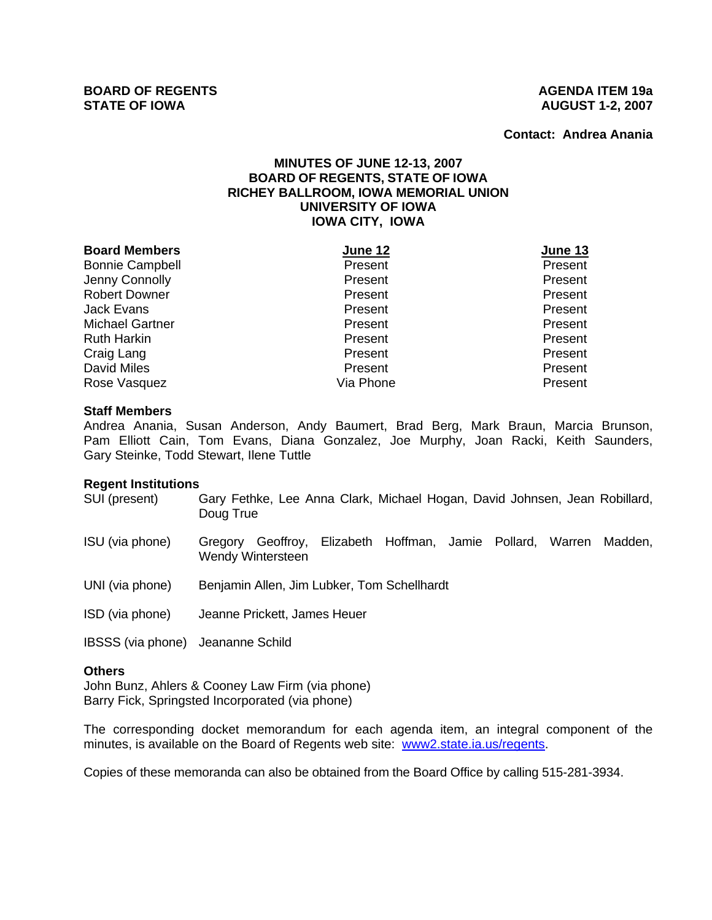**Contact: Andrea Anania**

# **MINUTES OF JUNE 12-13, 2007 BOARD OF REGENTS, STATE OF IOWA RICHEY BALLROOM, IOWA MEMORIAL UNION UNIVERSITY OF IOWA IOWA CITY, IOWA**

| <b>Board Members</b>   | June 12   | June 13 |
|------------------------|-----------|---------|
| <b>Bonnie Campbell</b> | Present   | Present |
| Jenny Connolly         | Present   | Present |
| <b>Robert Downer</b>   | Present   | Present |
| <b>Jack Evans</b>      | Present   | Present |
| <b>Michael Gartner</b> | Present   | Present |
| <b>Ruth Harkin</b>     | Present   | Present |
| Craig Lang             | Present   | Present |
| David Miles            | Present   | Present |
| Rose Vasquez           | Via Phone | Present |

#### **Staff Members**

Andrea Anania, Susan Anderson, Andy Baumert, Brad Berg, Mark Braun, Marcia Brunson, Pam Elliott Cain, Tom Evans, Diana Gonzalez, Joe Murphy, Joan Racki, Keith Saunders, Gary Steinke, Todd Stewart, Ilene Tuttle

### **Regent Institutions**

SUI (present) Gary Fethke, Lee Anna Clark, Michael Hogan, David Johnsen, Jean Robillard, Doug True

- ISU (via phone) Gregory Geoffroy, Elizabeth Hoffman, Jamie Pollard, Warren Madden, Wendy Wintersteen
- UNI (via phone) Benjamin Allen, Jim Lubker, Tom Schellhardt
- ISD (via phone) Jeanne Prickett, James Heuer

IBSSS (via phone) Jeananne Schild

#### **Others**

John Bunz, Ahlers & Cooney Law Firm (via phone) Barry Fick, Springsted Incorporated (via phone)

The corresponding docket memorandum for each agenda item, an integral component of the minutes, is available on the Board of Regents web site: www2.state.ia.us/regents.

Copies of these memoranda can also be obtained from the Board Office by calling 515-281-3934.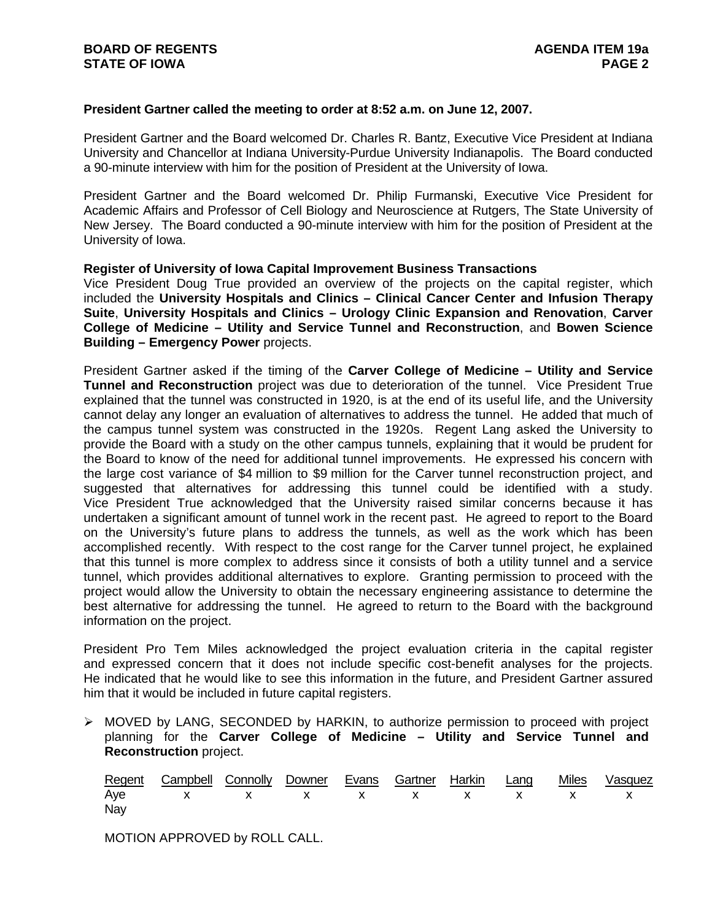## **President Gartner called the meeting to order at 8:52 a.m. on June 12, 2007.**

President Gartner and the Board welcomed Dr. Charles R. Bantz, Executive Vice President at Indiana University and Chancellor at Indiana University-Purdue University Indianapolis. The Board conducted a 90-minute interview with him for the position of President at the University of Iowa.

President Gartner and the Board welcomed Dr. Philip Furmanski, Executive Vice President for Academic Affairs and Professor of Cell Biology and Neuroscience at Rutgers, The State University of New Jersey. The Board conducted a 90-minute interview with him for the position of President at the University of Iowa.

#### **Register of University of Iowa Capital Improvement Business Transactions**

Vice President Doug True provided an overview of the projects on the capital register, which included the **University Hospitals and Clinics – Clinical Cancer Center and Infusion Therapy Suite**, **University Hospitals and Clinics – Urology Clinic Expansion and Renovation**, **Carver College of Medicine – Utility and Service Tunnel and Reconstruction**, and **Bowen Science Building – Emergency Power** projects.

President Gartner asked if the timing of the **Carver College of Medicine – Utility and Service Tunnel and Reconstruction** project was due to deterioration of the tunnel. Vice President True explained that the tunnel was constructed in 1920, is at the end of its useful life, and the University cannot delay any longer an evaluation of alternatives to address the tunnel. He added that much of the campus tunnel system was constructed in the 1920s. Regent Lang asked the University to provide the Board with a study on the other campus tunnels, explaining that it would be prudent for the Board to know of the need for additional tunnel improvements. He expressed his concern with the large cost variance of \$4 million to \$9 million for the Carver tunnel reconstruction project, and suggested that alternatives for addressing this tunnel could be identified with a study. Vice President True acknowledged that the University raised similar concerns because it has undertaken a significant amount of tunnel work in the recent past. He agreed to report to the Board on the University's future plans to address the tunnels, as well as the work which has been accomplished recently. With respect to the cost range for the Carver tunnel project, he explained that this tunnel is more complex to address since it consists of both a utility tunnel and a service tunnel, which provides additional alternatives to explore. Granting permission to proceed with the project would allow the University to obtain the necessary engineering assistance to determine the best alternative for addressing the tunnel. He agreed to return to the Board with the background information on the project.

President Pro Tem Miles acknowledged the project evaluation criteria in the capital register and expressed concern that it does not include specific cost-benefit analyses for the projects. He indicated that he would like to see this information in the future, and President Gartner assured him that it would be included in future capital registers.

¾ MOVED by LANG, SECONDED by HARKIN, to authorize permission to proceed with project planning for the **Carver College of Medicine – Utility and Service Tunnel and Reconstruction** project.

|     | Regent Campbell Connolly Downer Evans Gartner Harkin Lang Miles Vasquez |  |  |  |  |
|-----|-------------------------------------------------------------------------|--|--|--|--|
|     | Aye x x x x x x x x x                                                   |  |  |  |  |
| Nay |                                                                         |  |  |  |  |

MOTION APPROVED by ROLL CALL.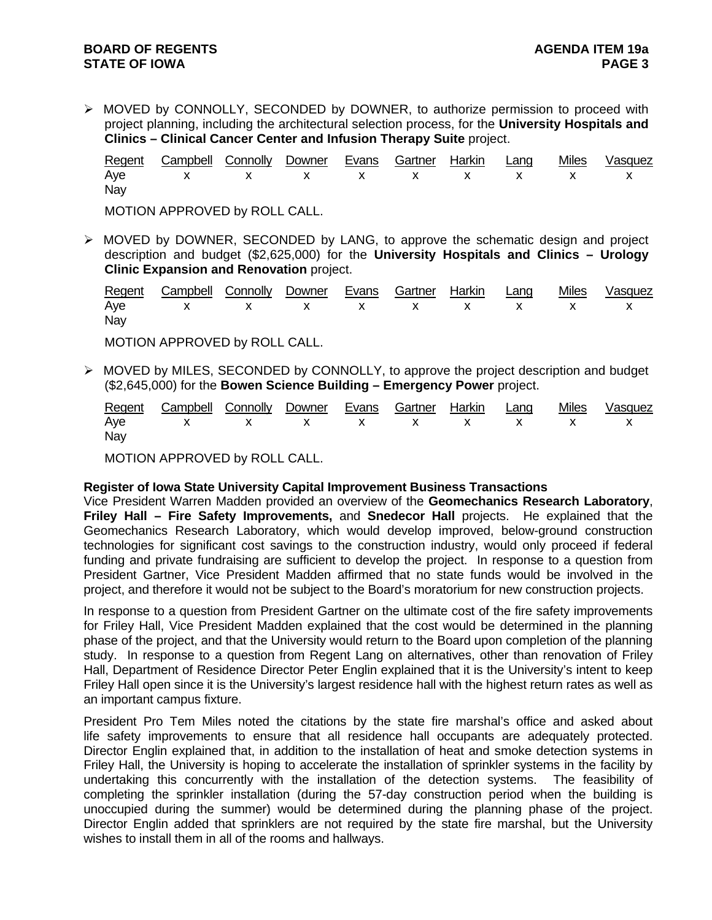¾ MOVED by CONNOLLY, SECONDED by DOWNER, to authorize permission to proceed with project planning, including the architectural selection process, for the **University Hospitals and Clinics – Clinical Cancer Center and Infusion Therapy Suite** project.

| Regent Campbell Connolly Downer Evans Gartner Harkin Lang Miles Vasquez |  |  |  |  |
|-------------------------------------------------------------------------|--|--|--|--|
| Aye x x x x x x x x x<br>Nay                                            |  |  |  |  |

MOTION APPROVED by ROLL CALL.

 $\triangleright$  MOVED by DOWNER, SECONDED by LANG, to approve the schematic design and project description and budget (\$2,625,000) for the **University Hospitals and Clinics – Urology Clinic Expansion and Renovation** project.

|     | Regent Campbell Connolly Downer Evans Gartner Harkin Lang Miles Vasquez |  |  |  |  |
|-----|-------------------------------------------------------------------------|--|--|--|--|
|     | Aye x x x x x x x x x                                                   |  |  |  |  |
| Nay |                                                                         |  |  |  |  |

MOTION APPROVED by ROLL CALL.

¾ MOVED by MILES, SECONDED by CONNOLLY, to approve the project description and budget (\$2,645,000) for the **Bowen Science Building – Emergency Power** project.

|     | Regent Campbell Connolly Downer Evans Gartner Harkin Lang Miles Vasquez |  |  |  |  |
|-----|-------------------------------------------------------------------------|--|--|--|--|
|     | Aye x x x x x x x x x                                                   |  |  |  |  |
| Nay |                                                                         |  |  |  |  |

MOTION APPROVED by ROLL CALL.

## **Register of Iowa State University Capital Improvement Business Transactions**

Vice President Warren Madden provided an overview of the **Geomechanics Research Laboratory**, **Friley Hall – Fire Safety Improvements,** and **Snedecor Hall** projects. He explained that the Geomechanics Research Laboratory, which would develop improved, below-ground construction technologies for significant cost savings to the construction industry, would only proceed if federal funding and private fundraising are sufficient to develop the project. In response to a question from President Gartner, Vice President Madden affirmed that no state funds would be involved in the project, and therefore it would not be subject to the Board's moratorium for new construction projects.

In response to a question from President Gartner on the ultimate cost of the fire safety improvements for Friley Hall, Vice President Madden explained that the cost would be determined in the planning phase of the project, and that the University would return to the Board upon completion of the planning study. In response to a question from Regent Lang on alternatives, other than renovation of Friley Hall, Department of Residence Director Peter Englin explained that it is the University's intent to keep Friley Hall open since it is the University's largest residence hall with the highest return rates as well as an important campus fixture.

President Pro Tem Miles noted the citations by the state fire marshal's office and asked about life safety improvements to ensure that all residence hall occupants are adequately protected. Director Englin explained that, in addition to the installation of heat and smoke detection systems in Friley Hall, the University is hoping to accelerate the installation of sprinkler systems in the facility by undertaking this concurrently with the installation of the detection systems. The feasibility of completing the sprinkler installation (during the 57-day construction period when the building is unoccupied during the summer) would be determined during the planning phase of the project. Director Englin added that sprinklers are not required by the state fire marshal, but the University wishes to install them in all of the rooms and hallways.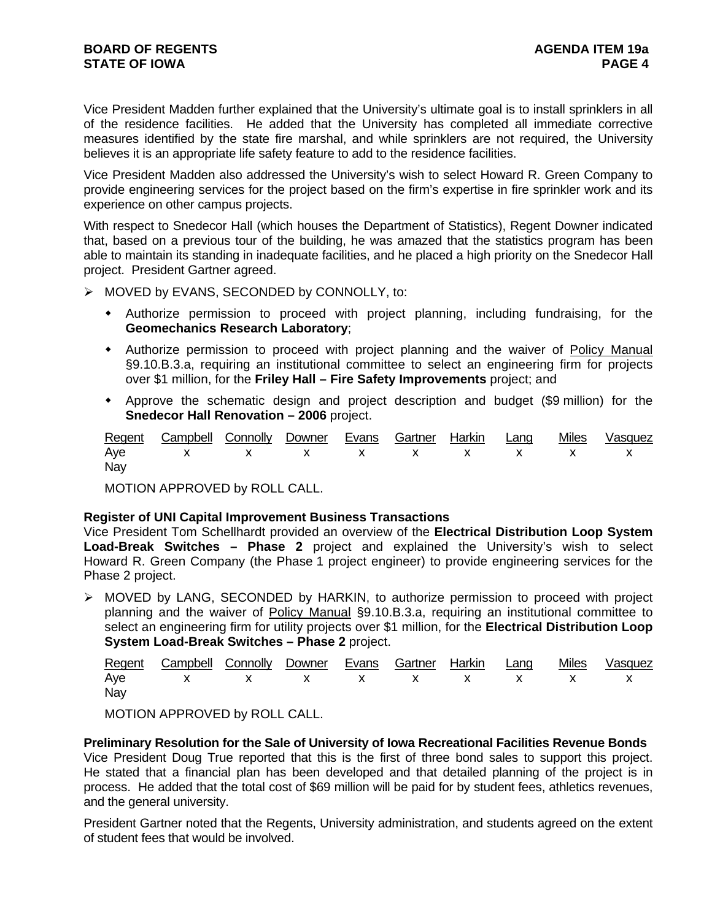Vice President Madden further explained that the University's ultimate goal is to install sprinklers in all of the residence facilities. He added that the University has completed all immediate corrective measures identified by the state fire marshal, and while sprinklers are not required, the University believes it is an appropriate life safety feature to add to the residence facilities.

Vice President Madden also addressed the University's wish to select Howard R. Green Company to provide engineering services for the project based on the firm's expertise in fire sprinkler work and its experience on other campus projects.

With respect to Snedecor Hall (which houses the Department of Statistics), Regent Downer indicated that, based on a previous tour of the building, he was amazed that the statistics program has been able to maintain its standing in inadequate facilities, and he placed a high priority on the Snedecor Hall project. President Gartner agreed.

- ¾ MOVED by EVANS, SECONDED by CONNOLLY, to:
	- Authorize permission to proceed with project planning, including fundraising, for the **Geomechanics Research Laboratory**;
	- Authorize permission to proceed with project planning and the waiver of Policy Manual §9.10.B.3.a, requiring an institutional committee to select an engineering firm for projects over \$1 million, for the **Friley Hall – Fire Safety Improvements** project; and
	- Approve the schematic design and project description and budget (\$9 million) for the **Snedecor Hall Renovation – 2006** project.

|     | Regent Campbell Connolly Downer Evans Gartner Harkin Lang Miles Vasquez |  |  |  |  |
|-----|-------------------------------------------------------------------------|--|--|--|--|
|     | Aye x x x x x x x x x x                                                 |  |  |  |  |
| Nay |                                                                         |  |  |  |  |

MOTION APPROVED by ROLL CALL.

## **Register of UNI Capital Improvement Business Transactions**

Vice President Tom Schellhardt provided an overview of the **Electrical Distribution Loop System Load-Break Switches – Phase 2** project and explained the University's wish to select Howard R. Green Company (the Phase 1 project engineer) to provide engineering services for the Phase 2 project.

 $\triangleright$  MOVED by LANG, SECONDED by HARKIN, to authorize permission to proceed with project planning and the waiver of Policy Manual §9.10.B.3.a, requiring an institutional committee to select an engineering firm for utility projects over \$1 million, for the **Electrical Distribution Loop System Load-Break Switches – Phase 2** project.

|     | Regent Campbell Connolly Downer Evans Gartner Harkin Lang Miles Vasquez |  |  |  |  |
|-----|-------------------------------------------------------------------------|--|--|--|--|
|     | Aye x x x x x x x x x                                                   |  |  |  |  |
| Nay |                                                                         |  |  |  |  |

MOTION APPROVED by ROLL CALL.

#### **Preliminary Resolution for the Sale of University of Iowa Recreational Facilities Revenue Bonds**

Vice President Doug True reported that this is the first of three bond sales to support this project. He stated that a financial plan has been developed and that detailed planning of the project is in process. He added that the total cost of \$69 million will be paid for by student fees, athletics revenues, and the general university.

President Gartner noted that the Regents, University administration, and students agreed on the extent of student fees that would be involved.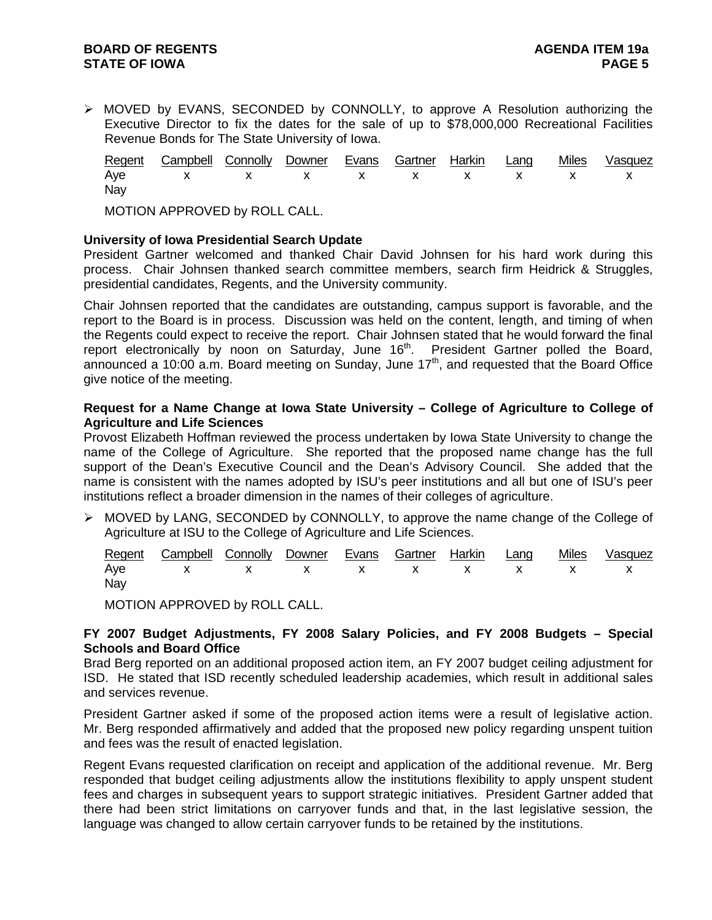¾ MOVED by EVANS, SECONDED by CONNOLLY, to approve A Resolution authorizing the Executive Director to fix the dates for the sale of up to \$78,000,000 Recreational Facilities Revenue Bonds for The State University of Iowa.

|     | Regent Campbell Connolly Downer Evans Gartner Harkin Lang Miles Vasquez |  |  |  |  |
|-----|-------------------------------------------------------------------------|--|--|--|--|
|     | Aye x x x x x x x x x                                                   |  |  |  |  |
| Nay |                                                                         |  |  |  |  |

MOTION APPROVED by ROLL CALL.

## **University of Iowa Presidential Search Update**

President Gartner welcomed and thanked Chair David Johnsen for his hard work during this process. Chair Johnsen thanked search committee members, search firm Heidrick & Struggles, presidential candidates, Regents, and the University community.

Chair Johnsen reported that the candidates are outstanding, campus support is favorable, and the report to the Board is in process. Discussion was held on the content, length, and timing of when the Regents could expect to receive the report. Chair Johnsen stated that he would forward the final report electronically by noon on Saturday, June 16<sup>th</sup>. President Gartner polled the Board, announced a 10:00 a.m. Board meeting on Sunday, June  $17<sup>th</sup>$ , and requested that the Board Office give notice of the meeting.

# **Request for a Name Change at Iowa State University – College of Agriculture to College of Agriculture and Life Sciences**

Provost Elizabeth Hoffman reviewed the process undertaken by Iowa State University to change the name of the College of Agriculture. She reported that the proposed name change has the full support of the Dean's Executive Council and the Dean's Advisory Council. She added that the name is consistent with the names adopted by ISU's peer institutions and all but one of ISU's peer institutions reflect a broader dimension in the names of their colleges of agriculture.

¾ MOVED by LANG, SECONDED by CONNOLLY, to approve the name change of the College of Agriculture at ISU to the College of Agriculture and Life Sciences.

|     | Regent Campbell Connolly Downer Evans Gartner Harkin Lang Miles Vasquez |  |  |  |  |
|-----|-------------------------------------------------------------------------|--|--|--|--|
|     | Aye x x x x x x x x x                                                   |  |  |  |  |
| Nay |                                                                         |  |  |  |  |

MOTION APPROVED by ROLL CALL.

## **FY 2007 Budget Adjustments, FY 2008 Salary Policies, and FY 2008 Budgets – Special Schools and Board Office**

Brad Berg reported on an additional proposed action item, an FY 2007 budget ceiling adjustment for ISD. He stated that ISD recently scheduled leadership academies, which result in additional sales and services revenue.

President Gartner asked if some of the proposed action items were a result of legislative action. Mr. Berg responded affirmatively and added that the proposed new policy regarding unspent tuition and fees was the result of enacted legislation.

Regent Evans requested clarification on receipt and application of the additional revenue. Mr. Berg responded that budget ceiling adjustments allow the institutions flexibility to apply unspent student fees and charges in subsequent years to support strategic initiatives. President Gartner added that there had been strict limitations on carryover funds and that, in the last legislative session, the language was changed to allow certain carryover funds to be retained by the institutions.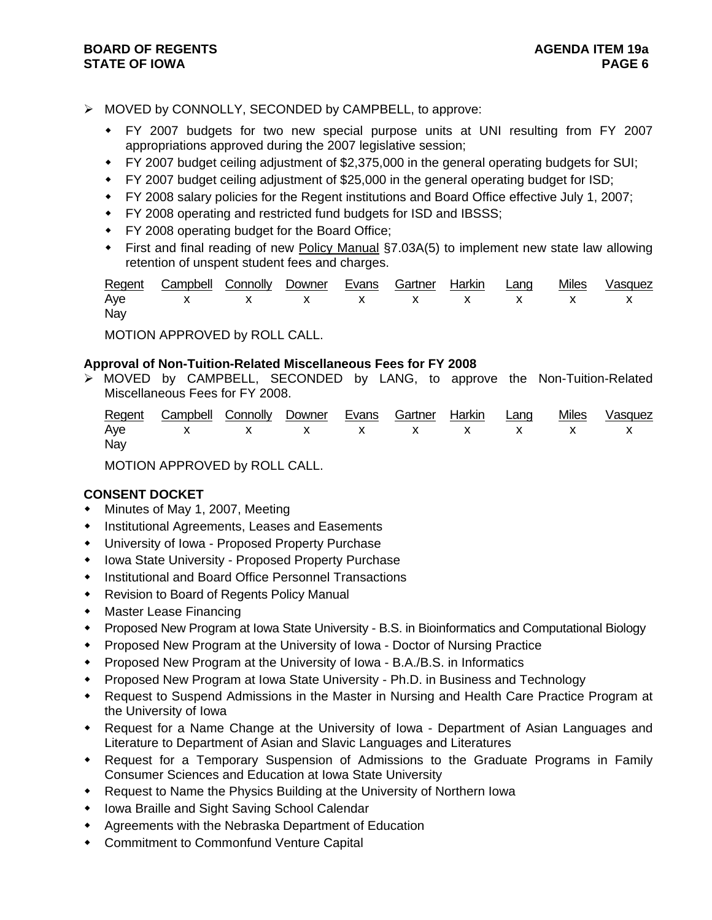# **BOARD OF REGENTS AGENUS AGENDA ITEM 19a STATE OF IOWA** PAGE 6 **PAGE 6**

# ¾ MOVED by CONNOLLY, SECONDED by CAMPBELL, to approve:

- FY 2007 budgets for two new special purpose units at UNI resulting from FY 2007 appropriations approved during the 2007 legislative session;
- FY 2007 budget ceiling adjustment of \$2,375,000 in the general operating budgets for SUI;
- FY 2007 budget ceiling adjustment of \$25,000 in the general operating budget for ISD;
- FY 2008 salary policies for the Regent institutions and Board Office effective July 1, 2007;
- FY 2008 operating and restricted fund budgets for ISD and IBSSS;
- FY 2008 operating budget for the Board Office;
- First and final reading of new Policy Manual §7.03A(5) to implement new state law allowing retention of unspent student fees and charges.

|     | Regent Campbell Connolly Downer Evans Gartner Harkin Lang Miles Vasquez |  |  |  |  |
|-----|-------------------------------------------------------------------------|--|--|--|--|
|     | Aye x x x x x x x x x x                                                 |  |  |  |  |
| Nay |                                                                         |  |  |  |  |

MOTION APPROVED by ROLL CALL.

# **Approval of Non-Tuition-Related Miscellaneous Fees for FY 2008**

¾ MOVED by CAMPBELL, SECONDED by LANG, to approve the Non-Tuition-Related Miscellaneous Fees for FY 2008.

|     | Regent Campbell Connolly Downer Evans Gartner Harkin Lang Miles Vasquez |  |  |  |  |
|-----|-------------------------------------------------------------------------|--|--|--|--|
|     | Aye x x x x x x x x x x                                                 |  |  |  |  |
| Nay |                                                                         |  |  |  |  |

MOTION APPROVED by ROLL CALL.

# **CONSENT DOCKET**

- Minutes of May 1, 2007, Meeting
- **•** Institutional Agreements, Leases and Easements
- University of Iowa Proposed Property Purchase
- Iowa State University Proposed Property Purchase
- Institutional and Board Office Personnel Transactions
- Revision to Board of Regents Policy Manual
- **\*** Master Lease Financing
- Proposed New Program at Iowa State University B.S. in Bioinformatics and Computational Biology
- Proposed New Program at the University of Iowa Doctor of Nursing Practice
- Proposed New Program at the University of Iowa B.A./B.S. in Informatics
- Proposed New Program at Iowa State University Ph.D. in Business and Technology
- Request to Suspend Admissions in the Master in Nursing and Health Care Practice Program at the University of Iowa
- Request for a Name Change at the University of Iowa Department of Asian Languages and Literature to Department of Asian and Slavic Languages and Literatures
- Request for a Temporary Suspension of Admissions to the Graduate Programs in Family Consumer Sciences and Education at Iowa State University
- Request to Name the Physics Building at the University of Northern Iowa
- Iowa Braille and Sight Saving School Calendar
- Agreements with the Nebraska Department of Education
- Commitment to Commonfund Venture Capital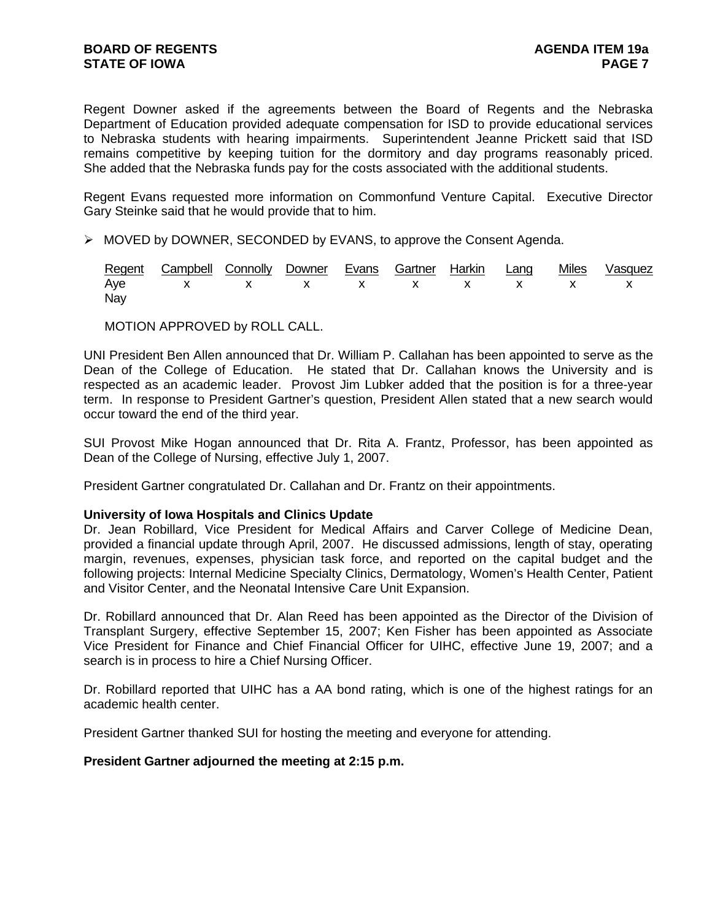Regent Downer asked if the agreements between the Board of Regents and the Nebraska Department of Education provided adequate compensation for ISD to provide educational services to Nebraska students with hearing impairments. Superintendent Jeanne Prickett said that ISD remains competitive by keeping tuition for the dormitory and day programs reasonably priced. She added that the Nebraska funds pay for the costs associated with the additional students.

Regent Evans requested more information on Commonfund Venture Capital. Executive Director Gary Steinke said that he would provide that to him.

¾ MOVED by DOWNER, SECONDED by EVANS, to approve the Consent Agenda.

|     | Regent Campbell Connolly Downer Evans Gartner Harkin Lang Miles Vasquez |  |  |  |  |
|-----|-------------------------------------------------------------------------|--|--|--|--|
|     | Aye x x x x x x x x x                                                   |  |  |  |  |
| Nay |                                                                         |  |  |  |  |

MOTION APPROVED by ROLL CALL.

UNI President Ben Allen announced that Dr. William P. Callahan has been appointed to serve as the Dean of the College of Education. He stated that Dr. Callahan knows the University and is respected as an academic leader. Provost Jim Lubker added that the position is for a three-year term. In response to President Gartner's question, President Allen stated that a new search would occur toward the end of the third year.

SUI Provost Mike Hogan announced that Dr. Rita A. Frantz, Professor, has been appointed as Dean of the College of Nursing, effective July 1, 2007.

President Gartner congratulated Dr. Callahan and Dr. Frantz on their appointments.

## **University of Iowa Hospitals and Clinics Update**

Dr. Jean Robillard, Vice President for Medical Affairs and Carver College of Medicine Dean, provided a financial update through April, 2007. He discussed admissions, length of stay, operating margin, revenues, expenses, physician task force, and reported on the capital budget and the following projects: Internal Medicine Specialty Clinics, Dermatology, Women's Health Center, Patient and Visitor Center, and the Neonatal Intensive Care Unit Expansion.

Dr. Robillard announced that Dr. Alan Reed has been appointed as the Director of the Division of Transplant Surgery, effective September 15, 2007; Ken Fisher has been appointed as Associate Vice President for Finance and Chief Financial Officer for UIHC, effective June 19, 2007; and a search is in process to hire a Chief Nursing Officer.

Dr. Robillard reported that UIHC has a AA bond rating, which is one of the highest ratings for an academic health center.

President Gartner thanked SUI for hosting the meeting and everyone for attending.

### **President Gartner adjourned the meeting at 2:15 p.m.**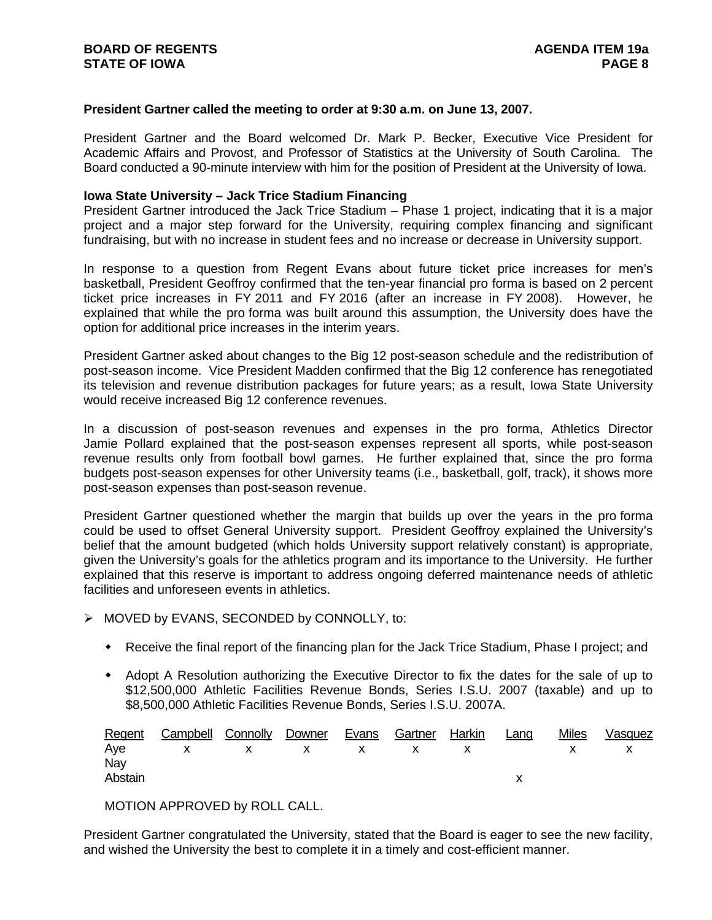### **President Gartner called the meeting to order at 9:30 a.m. on June 13, 2007.**

President Gartner and the Board welcomed Dr. Mark P. Becker, Executive Vice President for Academic Affairs and Provost, and Professor of Statistics at the University of South Carolina. The Board conducted a 90-minute interview with him for the position of President at the University of Iowa.

### **Iowa State University – Jack Trice Stadium Financing**

President Gartner introduced the Jack Trice Stadium – Phase 1 project, indicating that it is a major project and a major step forward for the University, requiring complex financing and significant fundraising, but with no increase in student fees and no increase or decrease in University support.

In response to a question from Regent Evans about future ticket price increases for men's basketball, President Geoffroy confirmed that the ten-year financial pro forma is based on 2 percent ticket price increases in FY 2011 and FY 2016 (after an increase in FY 2008). However, he explained that while the pro forma was built around this assumption, the University does have the option for additional price increases in the interim years.

President Gartner asked about changes to the Big 12 post-season schedule and the redistribution of post-season income. Vice President Madden confirmed that the Big 12 conference has renegotiated its television and revenue distribution packages for future years; as a result, Iowa State University would receive increased Big 12 conference revenues.

In a discussion of post-season revenues and expenses in the pro forma, Athletics Director Jamie Pollard explained that the post-season expenses represent all sports, while post-season revenue results only from football bowl games. He further explained that, since the pro forma budgets post-season expenses for other University teams (i.e., basketball, golf, track), it shows more post-season expenses than post-season revenue.

President Gartner questioned whether the margin that builds up over the years in the pro forma could be used to offset General University support. President Geoffroy explained the University's belief that the amount budgeted (which holds University support relatively constant) is appropriate, given the University's goals for the athletics program and its importance to the University. He further explained that this reserve is important to address ongoing deferred maintenance needs of athletic facilities and unforeseen events in athletics.

- ¾ MOVED by EVANS, SECONDED by CONNOLLY, to:
	- Receive the final report of the financing plan for the Jack Trice Stadium, Phase I project; and
	- Adopt A Resolution authorizing the Executive Director to fix the dates for the sale of up to \$12,500,000 Athletic Facilities Revenue Bonds, Series I.S.U. 2007 (taxable) and up to \$8,500,000 Athletic Facilities Revenue Bonds, Series I.S.U. 2007A.

|         | Regent Campbell Connolly Downer Evans Gartner Harkin Lang |  |  |  | Miles Vasquez |
|---------|-----------------------------------------------------------|--|--|--|---------------|
|         | Aye x x x x x x x x x                                     |  |  |  |               |
| Nay     |                                                           |  |  |  |               |
| Abstain |                                                           |  |  |  |               |

MOTION APPROVED by ROLL CALL.

President Gartner congratulated the University, stated that the Board is eager to see the new facility, and wished the University the best to complete it in a timely and cost-efficient manner.